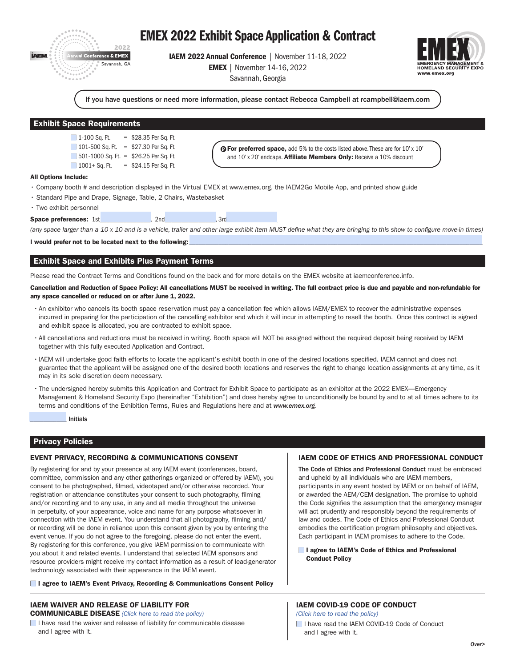

# EMEX 2022 Exhibit Space Application & Contract

IAEM 2022 Annual Conference | November 11-18, 2022 EMEX | November 14-16, 2022

Savannah, Georgia



If you have questions or need more information, please contact Rebecca Campbell at rcampbell@iaem.com

# Exhibit Space Requirements

 $1-100$  Sq. Ft.  $= $28.35$  Per Sq. Ft. 101-500 Sq. Ft.  $= $27.30$  Per Sq. Ft. 501-1000 Sq. Ft. = \$26.25 Per Sq. Ft.  $1001+$  Sq. Ft. = \$24.15 Per Sq. Ft.

**Q For preferred space,** add 5% to the costs listed above. These are for 10' x 10' and 10' x 20' endcaps. Affiliate Members Only: Receive a 10% discount

#### All Options Include:

- Company booth # and description displayed in the Virtual EMEX at www.emex.org, the IAEM2Go Mobile App, and printed show guide
- Standard Pipe and Drape, Signage, Table, 2 Chairs, Wastebasket
- Two exhibit personnel
- Space preferences: 1st \_\_\_\_\_\_\_\_\_\_\_, 2nd \_\_\_\_\_\_\_\_\_\_\_\_, 3rd

*(any space larger than a 10 x 10 and is a vehicle, trailer and other large exhibit item MUST define what they are bringing to this show to configure move-in times)*

I would prefer not to be located next to the following:

# Exhibit Space and Exhibits Plus Payment Terms

Please read the Contract Terms and Conditions found on the back and for more details on the EMEX website at iaemconference.info.

Cancellation and Reduction of Space Policy: All cancellations MUST be received in writing. The full contract price is due and payable and non-refundable for any space cancelled or reduced on or after June 1, 2022.

- •An exhibitor who cancels its booth space reservation must pay a cancellation fee which allows IAEM/EMEX to recover the administrative expenses incurred in preparing for the participation of the cancelling exhibitor and which it will incur in attempting to resell the booth. Once this contract is signed and exhibit space is allocated, you are contracted to exhibit space.
- •All cancellations and reductions must be received in writing. Booth space will NOT be assigned without the required deposit being received by IAEM together with this fully executed Application and Contract.
- •IAEM will undertake good faith efforts to locate the applicant's exhibit booth in one of the desired locations specified. IAEM cannot and does not guarantee that the applicant will be assigned one of the desired booth locations and reserves the right to change location assignments at any time, as it may in its sole discretion deem necessary.
- •The undersigned hereby submits this Application and Contract for Exhibit Space to participate as an exhibitor at the 2022 EMEX—Emergency Management & Homeland Security Expo (hereinafter "Exhibition") and does hereby agree to unconditionally be bound by and to at all times adhere to its terms and conditions of the Exhibition Terms, Rules and Regulations here and at *www.emex.org*.

\_\_\_\_\_\_\_\_\_\_\_ Initials

# Privacy Policies

# EVENT PRIVACY, RECORDING & COMMUNICATIONS CONSENT

By registering for and by your presence at any IAEM event (conferences, board, committee, commission and any other gatherings organized or offered by IAEM), you consent to be photographed, filmed, videotaped and/or otherwise recorded. Your registration or attendance constitutes your consent to such photography, filming and/or recording and to any use, in any and all media throughout the universe in perpetuity, of your appearance, voice and name for any purpose whatsoever in connection with the IAEM event. You understand that all photography, filming and/ or recording will be done in reliance upon this consent given by you by entering the event venue. If you do not agree to the foregoing, please do not enter the event. By registering for this conference, you give IAEM permission to communicate with you about it and related events. I understand that selected IAEM sponsors and resource providers might receive my contact information as a result of lead-generator techonology associated with their appearance in the IAEM event.

#### **I agree to IAEM's Event Privacy, Recording & Communications Consent Policy**

## IAEM WAIVER AND RELEASE OF LIABILITY FOR COMMUNICABLE DISEASE *[\(Click here to read the policy\)](https://www.iaem.org/Waiver-and-Release-of-Liability-for-Communicable-Disease)*

 $\blacksquare$  I have read the waiver and release of liability for communicable disease and I agree with it.

## IAEM CODE OF ETHICS AND PROFESSIONAL CONDUCT

The Code of Ethics and Professional Conduct must be embraced and upheld by all individuals who are IAEM members, participants in any event hosted by IAEM or on behalf of IAEM, or awarded the AEM/CEM designation. The promise to uphold the Code signifies the assumption that the emergency manager will act prudently and responsibly beyond the requirements of law and codes. The Code of Ethics and Professional Conduct embodies the certification program philosophy and objectives. Each participant in IAEM promises to adhere to the Code.

**I agree to IAEM's Code of Ethics and Professional** Conduct Policy

## IAEM COVID-19 CODE OF CONDUCT

*[\(Click here to read the policy\)](https://www.iaem.org/COVID-19-Code-of-Conduct)*

I have read the IAEM COVID-19 Code of Conduct and I agree with it.